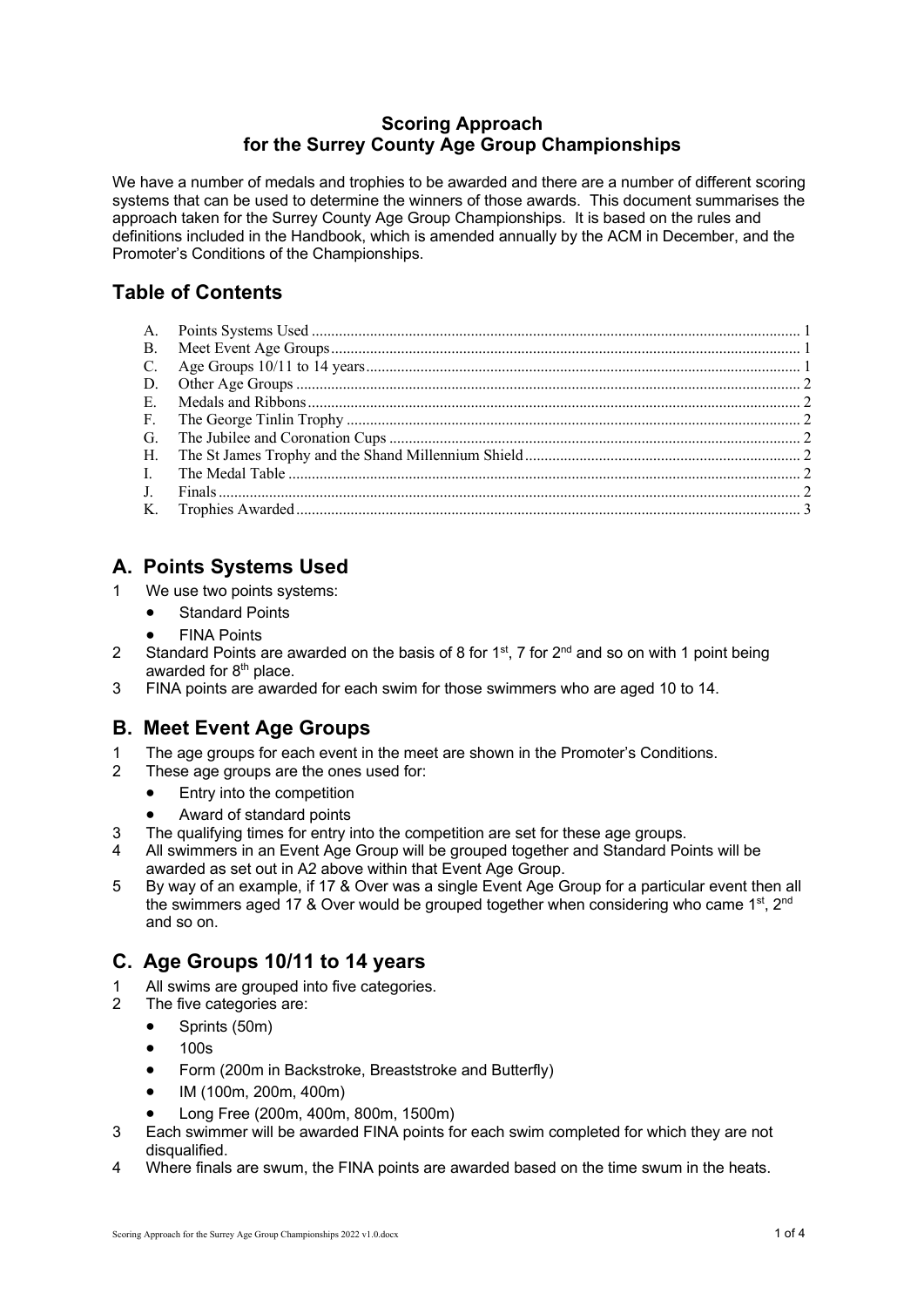#### **Scoring Approach for the Surrey County Age Group Championships**

We have a number of medals and trophies to be awarded and there are a number of different scoring systems that can be used to determine the winners of those awards. This document summarises the approach taken for the Surrey County Age Group Championships. It is based on the rules and definitions included in the Handbook, which is amended annually by the ACM in December, and the Promoter's Conditions of the Championships.

# **Table of Contents**

# **A. Points Systems Used**

- 1 We use two points systems:
	- Standard Points
	- FINA Points
- 2 Standard Points are awarded on the basis of 8 for  $1<sup>st</sup>$ , 7 for  $2<sup>nd</sup>$  and so on with 1 point being awarded for  $8<sup>th</sup>$  place.
- 3 FINA points are awarded for each swim for those swimmers who are aged 10 to 14.

# **B. Meet Event Age Groups**

- 1 The age groups for each event in the meet are shown in the Promoter's Conditions.
- 2 These age groups are the ones used for:
	- Entry into the competition
	- Award of standard points
- 3 The qualifying times for entry into the competition are set for these age groups.
- 4 All swimmers in an Event Age Group will be grouped together and Standard Points will be awarded as set out in A2 above within that Event Age Group.
- 5 By way of an example, if 17 & Over was a single Event Age Group for a particular event then all the swimmers aged 17 & Over would be grouped together when considering who came 1<sup>st</sup>, 2<sup>nd</sup> and so on.

# **C. Age Groups 10/11 to 14 years**

- 1 All swims are grouped into five categories.
- 2 The five categories are:
	- Sprints (50m)
	- 100s
	- Form (200m in Backstroke, Breaststroke and Butterfly)
	- IM (100m, 200m, 400m)
	- Long Free (200m, 400m, 800m, 1500m)
- 3 Each swimmer will be awarded FINA points for each swim completed for which they are not disqualified.
- 4 Where finals are swum, the FINA points are awarded based on the time swum in the heats.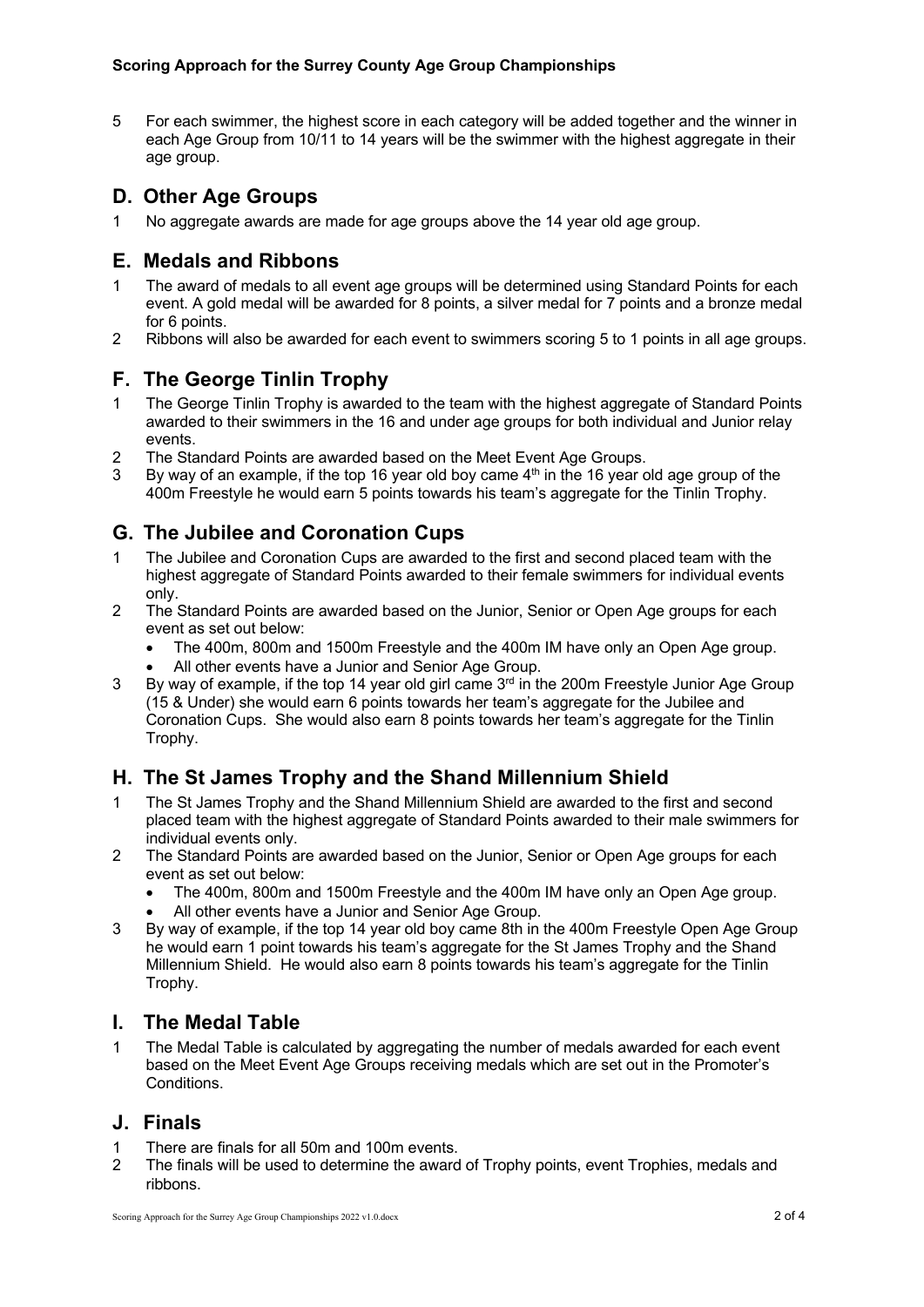5 For each swimmer, the highest score in each category will be added together and the winner in each Age Group from 10/11 to 14 years will be the swimmer with the highest aggregate in their age group.

## **D. Other Age Groups**

1 No aggregate awards are made for age groups above the 14 year old age group.

## **E. Medals and Ribbons**

- 1 The award of medals to all event age groups will be determined using Standard Points for each event. A gold medal will be awarded for 8 points, a silver medal for 7 points and a bronze medal for 6 points.
- 2 Ribbons will also be awarded for each event to swimmers scoring 5 to 1 points in all age groups.

### **F. The George Tinlin Trophy**

- 1 The George Tinlin Trophy is awarded to the team with the highest aggregate of Standard Points awarded to their swimmers in the 16 and under age groups for both individual and Junior relay events.
- 2 The Standard Points are awarded based on the Meet Event Age Groups.
- 3 By way of an example, if the top 16 year old boy came  $4<sup>th</sup>$  in the 16 year old age group of the 400m Freestyle he would earn 5 points towards his team's aggregate for the Tinlin Trophy.

# **G. The Jubilee and Coronation Cups**

- 1 The Jubilee and Coronation Cups are awarded to the first and second placed team with the highest aggregate of Standard Points awarded to their female swimmers for individual events only.
- 2 The Standard Points are awarded based on the Junior, Senior or Open Age groups for each event as set out below:
	- The 400m, 800m and 1500m Freestyle and the 400m IM have only an Open Age group.
	- All other events have a Junior and Senior Age Group.
- 3 By way of example, if the top 14 year old girl came  $3<sup>rd</sup>$  in the 200m Freestyle Junior Age Group (15 & Under) she would earn 6 points towards her team's aggregate for the Jubilee and Coronation Cups. She would also earn 8 points towards her team's aggregate for the Tinlin Trophy.

### **H. The St James Trophy and the Shand Millennium Shield**

- 1 The St James Trophy and the Shand Millennium Shield are awarded to the first and second placed team with the highest aggregate of Standard Points awarded to their male swimmers for individual events only.
- 2 The Standard Points are awarded based on the Junior, Senior or Open Age groups for each event as set out below:
	- The 400m, 800m and 1500m Freestyle and the 400m IM have only an Open Age group.
	- All other events have a Junior and Senior Age Group.
- 3 By way of example, if the top 14 year old boy came 8th in the 400m Freestyle Open Age Group he would earn 1 point towards his team's aggregate for the St James Trophy and the Shand Millennium Shield. He would also earn 8 points towards his team's aggregate for the Tinlin Trophy.

#### **I. The Medal Table**

1 The Medal Table is calculated by aggregating the number of medals awarded for each event based on the Meet Event Age Groups receiving medals which are set out in the Promoter's **Conditions** 

#### **J. Finals**

- 1 There are finals for all 50m and 100m events.
- 2 The finals will be used to determine the award of Trophy points, event Trophies, medals and ribbons.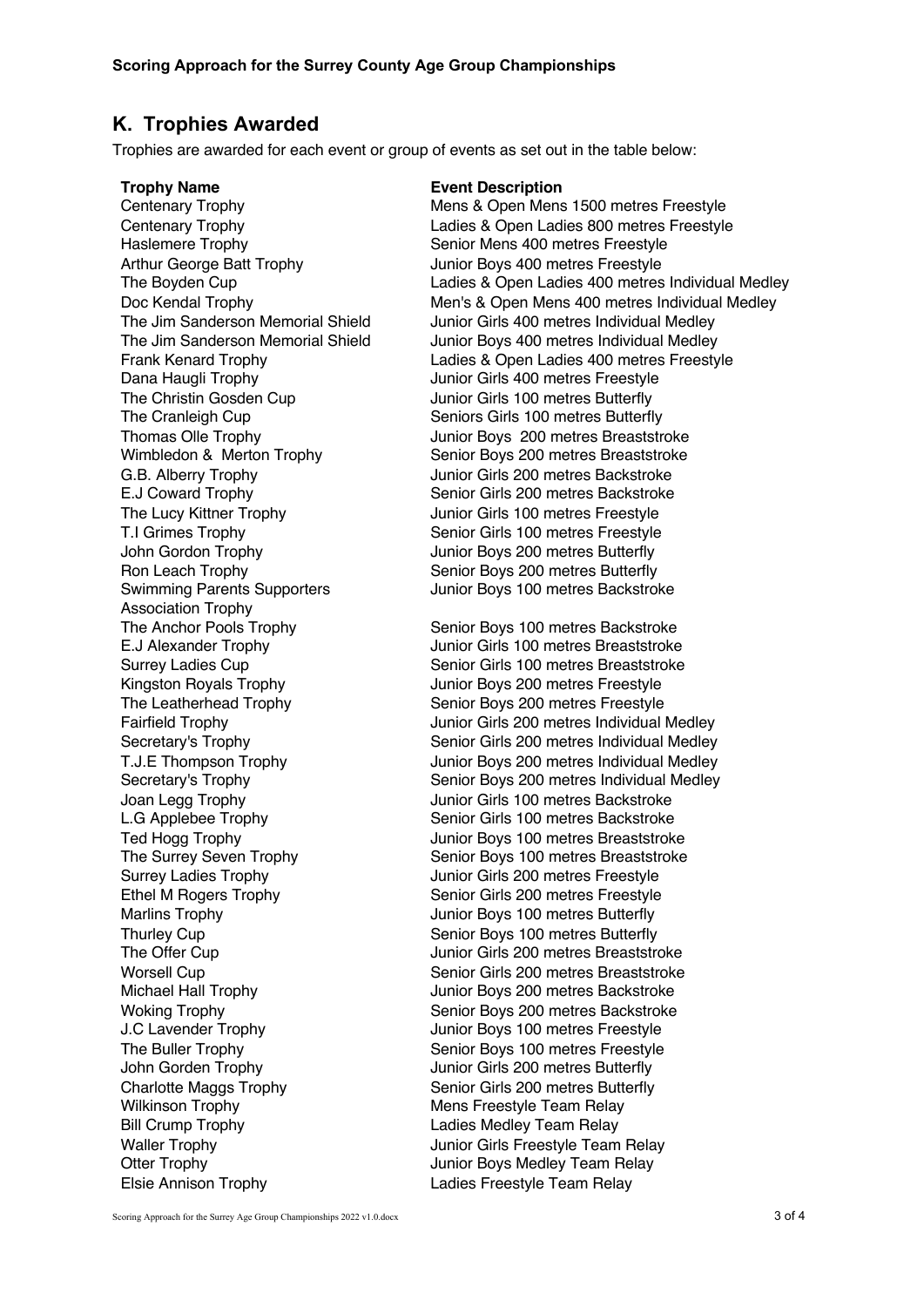#### **K. Trophies Awarded**

Trophies are awarded for each event or group of events as set out in the table below:

Dana Haugli Trophy Junior Girls 400 metres Freestyle The Christin Gosden Cup Junior Girls 100 metres Butterfly The Lucy Kittner Trophy Junior Girls 100 metres Freestyle John Gordon Trophy Junior Boys 200 metres Butterfly Ron Leach Trophy Senior Boys 200 metres Butterfly Swimming Parents Supporters Association Trophy Surrey Ladies Trophy **Surrey Ladies Trophy** Junior Girls 200 metres Freestyle Marlins Trophy Junior Boys 100 metres Butterfly Thurley Cup **Senior Boys 100 metres Butterfly** John Gorden Trophy Junior Girls 200 metres Butterfly Charlotte Maggs Trophy Senior Girls 200 metres Butterfly Wilkinson Trophy **Mens** Freestyle Team Relay Bill Crump Trophy **Example 2** Ladies Medley Team Relay Otter Trophy **Intervellet Contract Contract Contract Contract Contract Contract Contract Contract Contract Contract Contract Contract Contract Contract Contract Contract Contract Contract Contract Contract Contract Contrac** Elsie Annison Trophy Ladies Freestyle Team Relay

#### **Trophy Name Event Description**

Centenary Trophy **Centenary Trophy** Mens & Open Mens 1500 metres Freestyle<br>Centenary Trophy **Centenary Trophy** Ladies & Open Ladies 800 metres Freestyle Ladies & Open Ladies 800 metres Freestyle Haslemere Trophy<br>
Arthur George Batt Trophy<br>
Senior Boys 400 metres Freestyle<br>
Unior Boys 400 metres Freestyle Junior Boys 400 metres Freestyle The Boyden Cup Ladies & Open Ladies 400 metres Individual Medley Doc Kendal Trophy Men's & Open Mens 400 metres Individual Medley The Jim Sanderson Memorial Shield Junior Girls 400 metres Individual Medley The Jim Sanderson Memorial Shield Junior Boys 400 metres Individual Medley Frank Kenard Trophy Ladies & Open Ladies 400 metres Freestyle The Cranleigh Cup **Seniors Girls 100 metres Butterfly** Thomas Olle Trophy Junior Boys 200 metres Breaststroke Wimbledon & Merton Trophy Senior Boys 200 metres Breaststroke G.B. Alberry Trophy Junior Girls 200 metres Backstroke E.J Coward Trophy Senior Girls 200 metres Backstroke T.I Grimes Trophy Senior Girls 100 metres Freestyle Junior Boys 100 metres Backstroke

The Anchor Pools Trophy Senior Boys 100 metres Backstroke E.J Alexander Trophy Junior Girls 100 metres Breaststroke Surrey Ladies Cup Senior Girls 100 metres Breaststroke Kingston Royals Trophy<br>
The Leatherhead Trophy<br>
The Leatherhead Trophy<br>
Senior Boys 200 metres Freestyle Senior Boys 200 metres Freestyle Fairfield Trophy Junior Girls 200 metres Individual Medley Secretary's Trophy Senior Girls 200 metres Individual Medley T.J.E Thompson Trophy Junior Boys 200 metres Individual Medley Secretary's Trophy Senior Boys 200 metres Individual Medley Joan Legg Trophy Junior Girls 100 metres Backstroke L.G Applebee Trophy Senior Girls 100 metres Backstroke Ted Hogg Trophy Junior Boys 100 metres Breaststroke The Surrey Seven Trophy Senior Boys 100 metres Breaststroke Ethel M Rogers Trophy Senior Girls 200 metres Freestyle The Offer Cup Junior Girls 200 metres Breaststroke Worsell Cup **Senior Girls 200 metres Breaststroke** Senior Girls 200 metres Breaststroke Michael Hall Trophy **Michael Hall Trophy** Junior Boys 200 metres Backstroke Woking Trophy Trophy Senior Boys 200 metres Backstroke J.C Lavender Trophy Junior Boys 100 metres Freestyle The Buller Trophy The Buller Trophy Waller Trophy **Valler Trophy** Junior Girls Freestyle Team Relay